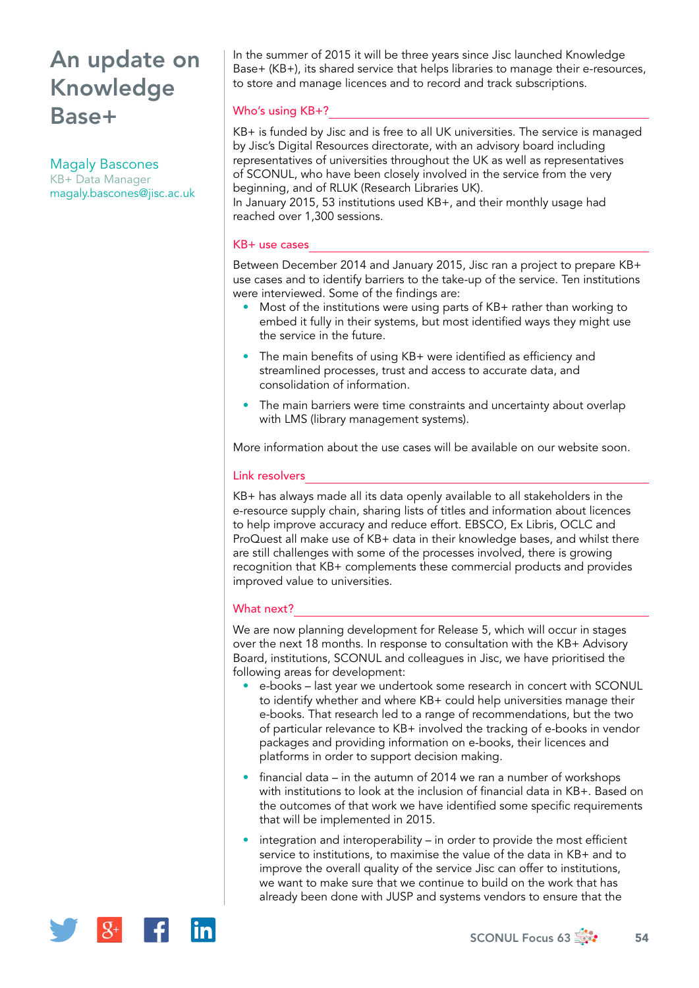# An update on Knowledge Base+

Magaly Bascones KB+ Data Manager [magaly.bascones@jisc.ac.uk](mailto:magaly.bascones@jisc.ac.uk) In the summer of 2015 it will be three years since Jisc launched Knowledge Base+ (KB+), its shared service that helps libraries to manage their e-resources, to store and manage licences and to record and track subscriptions.

## Who's using KB+?

KB+ is funded by Jisc and is free to all UK universities. The service is managed by Jisc's Digital Resources directorate, with an advisory board including representatives of universities throughout the UK as well as representatives of SCONUL, who have been closely involved in the service from the very beginning, and of RLUK (Research Libraries UK).

In January 2015, 53 institutions used KB+, and their monthly usage had reached over 1,300 sessions.

#### KB+ use cases

Between December 2014 and January 2015, Jisc ran a project to prepare KB+ use cases and to identify barriers to the take-up of the service. Ten institutions were interviewed. Some of the findings are:

- Most of the institutions were using parts of KB+ rather than working to embed it fully in their systems, but most identified ways they might use the service in the future.
- The main benefits of using KB+ were identified as efficiency and streamlined processes, trust and access to accurate data, and consolidation of information.
- The main barriers were time constraints and uncertainty about overlap with LMS (library management systems).

More information about the use cases will be available on our website soon.

### Link resolvers

KB+ has always made all its data openly available to all stakeholders in the e-resource supply chain, sharing lists of titles and information about licences to help improve accuracy and reduce effort. EBSCO, Ex Libris, OCLC and ProQuest all make use of KB+ data in their knowledge bases, and whilst there are still challenges with some of the processes involved, there is growing recognition that KB+ complements these commercial products and provides improved value to universities.

## What next?

We are now planning development for Release 5, which will occur in stages over the next 18 months. In response to consultation with the KB+ Advisory Board, institutions, SCONUL and colleagues in Jisc, we have prioritised the following areas for development:

- e-books last year we undertook some research in concert with SCONUL to identify whether and where KB+ could help universities manage their e-books. That research led to a range of recommendations, but the two of particular relevance to KB+ involved the tracking of e-books in vendor packages and providing information on e-books, their licences and platforms in order to support decision making.
- financial data in the autumn of 2014 we ran a number of workshops with institutions to look at the inclusion of financial data in KB+. Based on the outcomes of that work we have identified some specific requirements that will be implemented in 2015.
- integration and interoperability in order to provide the most efficient service to institutions, to maximise the value of the data in KB+ and to improve the overall quality of the service Jisc can offer to institutions, we want to make sure that we continue to build on the work that has already been done with JUSP and systems vendors to ensure that the